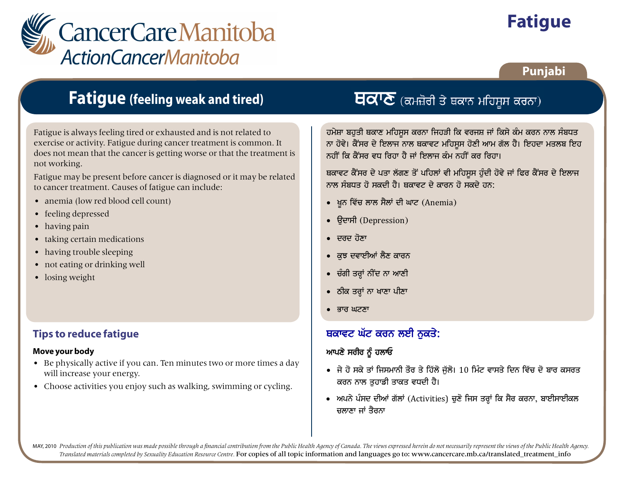

# **Fatigue**

### **Punjabi**

# **Fatigue (feeling weak and tired)**

Fatigue is always feeling tired or exhausted and is not related to exercise or activity. Fatigue during cancer treatment is common. It does not mean that the cancer is getting worse or that the treatment is not working.

Fatigue may be present before cancer is diagnosed or it may be related to cancer treatment. Causes of fatigue can include:

- anemia (low red blood cell count)
- feeling depressed
- having pain
- taking certain medications
- having trouble sleeping
- not eating or drinking well
- losing weight

### **Tips to reduce fatigue**

#### **Move your body**

- Be physically active if you can. Ten minutes two or more times a day will increase your energy.
- Choose activities you enjoy such as walking, swimming or cycling.

## $\overline{H}$ ਕ $\overline{V}$  (ਕਮਜ਼ੋਰੀ ਤੇ ਥਕਾਨ ਮਹਿਸੂਸ ਕਰਨਾ)

ਹਮੇਸ਼ਾ ਬਹਤੀ ਥਕਾਣ ਮਹਿਸੂਸ ਕਰਨਾ ਜਿਹੜੀ ਕਿ ਵਰਜਸ਼ ਜਾਂ ਕਿਸੇ ਕੰਮ ਕਰਨ ਨਾਲ ਸੰਬਧਤ ਨਾ ਹੋਵੇ। ਕੈਂਸਰ ਦੇ ਇਲਾਜ ਨਾਲ ਥਕਾਵਟ ਮਹਿਸੂਸ ਹੋਣੀ ਆਮ ਗੱਲ ਹੈ। ਇਹਦਾ ਮਤਲਬ ਇਹ ਨਹੀਂ ਕਿ ਕੈਂਸਰ ਵਧ ਰਿਹਾ ਹੈ ਜਾਂ ਇਲਾਜ ਕੰਮ ਨਹੀਂ ਕਰ ਰਿਹਾ।

ਬਕਾਵਟ ਕੈਂਸਰ ਦੇ ਪਤਾ ਲੱਗਣ ਤੋਂ ਪਹਿਲਾਂ ਵੀ ਮਹਿਸੂਸ ਹੰਦੀ ਹੋਵੇ ਜਾਂ ਫਿਰ ਕੈਂਸਰ ਦੇ ਇਲਾਜ ਨਾਲ ਸੰਬਧਤ ਹੋ ਸਕਦੀ ਹੈ। ਥਕਾਵਟ ਦੇ ਕਾਰਨ ਹੋ ਸਕਦੇ ਹਨ:

- ਖੂਨ ਵਿੱਚ ਲਾਲ ਸੈਲਾਂ ਦੀ ਘਾਟ (Anemia)
- ਓਦਾਸੀ (Depression)
- $\bullet$  सतस्य तेष्ठाः
- ਕੁਝ ਦਵਾਈਆਂ ਲੈਣ ਕਾਰਨ
- ਚੰਗੀ ਤਰ੍ਹਾਂ ਨੀਂਦ ਨਾ ਆਣੀ
- ਠੀਕ ਤਰ੍ਹਾਂ ਨਾ ਖਾਣਾ ਪੀਣਾ
- $\bullet$  ਭਾਰ ਘਟਣਾ

### ਬਕਾਵਟ ਘੱਟ ਕਰਨ ਲਈ ਨੁਕਤੇ:

### ਆਪਣੇ ਸਰੀਰ ਨੂੰ ਹਲਾਓ

- ਜੇ ਹੋ ਸਕੇ ਤਾਂ ਜਿਸਮਾਨੀ ਤੌਰ ਤੇ ਹਿੱਲੋ ਜੁੱਲੋ। 10 ਮਿੰਟ ਵਾਸਤੇ ਦਿਨ ਵਿੱਚ ਦੋ ਬਾਰ ਕਸਰਤ ਕਰਨ ਨਾਲ ਤਹਾਡੀ ਤਾਕਤ ਵਧਦੀ ਹੈ।
- ਅਪਨੇ ਪੰਸਦ ਦੀਆਂ ਗੱਲਾਂ (Activities) ਚੁਣੋ ਜਿਸ ਤਰ੍ਹਾਂ ਕਿ ਸੈਰ ਕਰਨਾ, ਬਾਈਸਾਈਕਲ ਜਲਾਣਾ ਜਾਂ ਤੈਰਨਾ

MAY, 2010 Production of this publication was made possible through a financial contribution from the Public Health Agency of Canada. The views expressed herein do not necessarily represent the views of the Public Health Ag *Translated materials completed by Sexuality Education Resource Centre.* For copies of all topic information and languages go to: www.cancercare.mb.ca/translated\_treatment\_info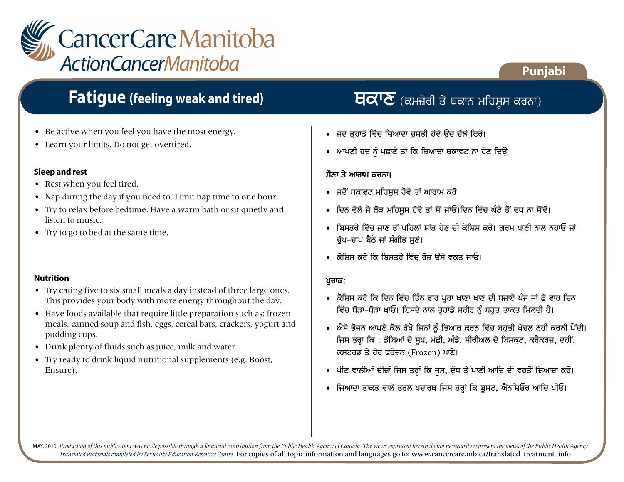

# **Fatigue (feeling weak and tired) ਵਿੱਚ ਇੱਕੋਮੋ ਦੇ ਪ**ਰਮਜ਼ੋਰੀ ਤੇ ਥਕਾਨ ਮਹਿਸੂਸ ਕਰਨਾ)

- Be active when you feel you have the most energy.
- Learn your limits. Do not get overtired.

#### **Sleep and rest**

- Rest when you feel tired.
- Nap during the day if you need to. Limit nap time to one hour.
- Try to relax before bedtime. Have a warm bath or sit quietly and listen to music.
- Try to go to bed at the same time.

#### **Nutrition**

- Try eating five to six small meals a day instead of three large ones. This provides your body with more energy throughout the day.
- Have foods available that require little preparation such as: frozen meals, canned soup and fish, eggs, cereal bars, crackers, yogurt and pudding cups.
- Drink plenty of fluids such as juice, milk and water.
- Try ready to drink liquid nutritional supplements (e.g. Boost, Ensure).

**Punjabi**

- ਜਦ ਤੁਹਾਡੇ ਵਿੱਚ ਜ਼ਿਆਦਾ ਚੁਸਤੀ ਹੋਵੇ ਉਦੋ ਚੱਲੋ ਫਿਰੋ।
- ਆਪਣੀ ਹੱਦ ਨੂੰ ਪਛਾਣੋ ਤਾਂ ਕਿ ਜ਼ਿਆਦਾ ਥਕਾਵਟ ਨਾ ਹੋਣ ਦਿਉ

#### ਸੌਣਾ ਤੇ ਆਰਾਮ ਕਰਨਾ।

clwxw jW qYrnw

- ਜਦੋਂ ਥਕਾਵਟ ਮਹਿਸੁਸ ਹੋਵੇ ਤਾਂ ਆਰਾਮ ਕਰੋ
- ਦਿਨ ਵੇਲੇ ਜੇ ਲੋੜ ਮਹਿਸੁਸ ਹੋਵੇ ਤਾਂ ਸੌਂ ਜਾਓ।ਦਿਨ ਵਿੱਚ ਘੰਟੇ ਤੋਂ ਵਧ ਨਾ ਸੌਂਵੋ।
- ਬਿਸਤਰੇ ਵਿੱਚ ਜਾਣ ਤੋਂ ਪਹਿਲਾਂ ਸ਼ਾਂਤ ਹੋਣ ਦੀ ਕੋਸ਼ਿਸ ਕਰੋ। ਗਰਮ ਪਾਣੀ ਨਾਲ ਨਹਾਓ ਜਾਂ ਚੱਪ-ਚਾਪ ਬੈਠੋ ਜਾਂ ਸੰਗੀਤ ਸਣੋ।
- *ਕੋ*ਸਿਸ ਕਰੋ ਕਿ ਸਿਸਤਰੇ ਵਿੱਚ ਰੋਜ਼ ਉਸੇ ਵਕਤ ਜਾਓ।

#### ਖਰਾਕ:

- ਕੋਸ਼ਿਸ ਕਰੋ ਕਿ ਦਿਨ ਵਿੱਚ ਤਿੰਨ ਵਾਰ ਪੂਰਾ ਖਾਣਾ ਖਾਣ ਦੀ ਬਜਾਏ ਪੰਜ ਜਾਂ ਛੇ ਵਾਰ ਦਿਨ ਵਿੱਚ ਥੋੜਾ-ਥੋੜਾ ਖਾਓ। ਇਸਦੇ ਨਾਲ ਤੁਹਾਡੇ ਸਰੀਰ ਨੂੰ ਬਹੁਤ ਤਾਕਤ ਮਿਲਦੀ ਹੈ।
- ਐਸੇ ਭੋਜਨ ਆਪਣੇ ਕੋਲ ਰੱਖੋ ਜਿਨਾਂ ਨੂੰ ਤਿਆਰ ਕਰਨ ਵਿੱਚ ਬਹੁਤੀ ਖੇਚਲ ਨਹੀ ਕਰਨੀ ਪੈਂਦੀ। ਜਿਸ ਤਰ੍ਹਾ ਕਿ : ਡੱਬਿਆਂ ਦੇ ਸੁਪ, ਮੱਛੀ, ਅੰਡੇ, ਸੀਰੀਅਲ ਦੇ ਬਿਸਕੂਟ, ਕਰੈਕਰਜ਼, ਦਹੀਂ, ਕਸਟਰਡ ਤੇ ਹੋਰ ਫਰੋਜ਼ਨ (Frozen) ਖਾਣੇ।
- ਪੀਣ ਵਾਲੀਆਂ ਚੀਜ਼ਾਂ ਜਿਸ ਤਰ੍ਹਾਂ ਕਿ ਜੂਸ, ਦੁੱਧ ਤੇ ਪਾਣੀ ਆਦਿ ਦੀ ਵਰਤੋਂ ਜ਼ਿਆਦਾ ਕਰੋ।
- ਜ਼ਿਆਦਾ ਤਾਕਤ ਵਾਲੇ ਤਰਲ ਪਦਾਰਥ ਜਿਸ ਤਰ੍ਹਾਂ ਕਿ ਬੁਸਟ, ਐਨਸ਼ਿਓਰ ਆਦਿ ਪੀਓ।

MAY, 2010 Production of this publication was made possible through a financial contribution from the Public Health Agency of Canada. The views expressed herein do not necessarily represent the views of the Public Health Ag *Translated materials completed by Sexuality Education Resource Centre.* For copies of all topic information and languages go to: www.cancercare.mb.ca/translated\_treatment\_info